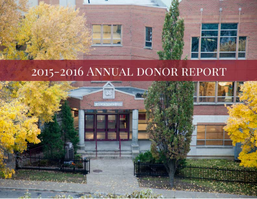

# 2015-2016 ANNUAL DONOR REPORT

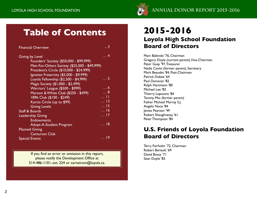

# **Table of Contents**

| <b>Financial Overview</b>                    | 3           |
|----------------------------------------------|-------------|
| <b>Giving by Level</b>                       | . 4         |
| Founders' Society (\$50,000 - \$99,999)      |             |
| Men-For-Others Society (\$25,000 - \$49,999) |             |
| President's Circle (\$10,000 - \$24,999)     |             |
| Ignatian Fraternity (\$5,000 - \$9,999)      |             |
| Loyola Fellowship (\$2,500 - \$4,999)        | <u>5</u>    |
| Magis Society (\$1,000 - \$2,499)            |             |
| Warriors' League (\$500 - \$999)             | 6           |
| Maroon & White Club (\$250 - \$499)          | $\ldots$ 8  |
| 1896 Club (\$100 - \$249)                    | 11          |
| Kairos Circle (up to \$99)                   | $\dots$ 13  |
| <b>Giving Levels</b>                         | $\dots$ 15  |
| <b>Staff &amp; Boards</b>                    | $\ldots$ 16 |
| <b>Leadership Giving</b>                     | <u> 17</u>  |
| <b>Endowments</b>                            |             |
| Adopt-A-Student Program                      | … I8        |
| <b>Planned Giving</b>                        |             |
| <b>Centurion Club</b>                        |             |
| <b>Special Events</b>                        | . 19        |

If you find an error or omission in this report, please notify the Development Office at 514-486-1101, ext. 224 or carneirom@loyola.ca.

# **2015-2016**

# **Loyola High School Foundation Board of Directors**

Marc Babinski '76, Chairman Gregory Doyle (current parent), Vice-Chairman Peter Guay '97, Treasurer Nadia Canini (former parent), Secretary Mark Beaudet '84, Past-Chairman Patrick Dubee '64 Paul Donovan '82 Ralph Hartmann '80 Michael Lee '82 Thierry Lepoutre '84 Tammy Mio (former parent) Father Michael Murray S.J. Angelo Noce '84 James Pearson '49 Robert Shaughnessy '61 Peter Thompson '84

# **U.S. Friends of Loyola Foundation Board of Directors**

Terry Fairholm '72, Chairman Robert Beriault '69 David Bossy '71 Sean Doyle '83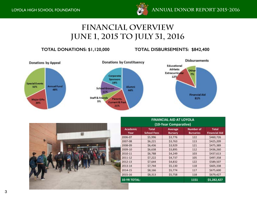

# **Financial Overview June 1, 2015 to July 31, 2016**

### **TOTAL DONATIONS: \$1,120,000 TOTAL DISBURSEMENTS: \$842,400**

FILIPPINE AIR AT LAURA



| FINANCIAL AID AT LUTULA<br>(10-Year Comparative) |                                    |                           |                                      |                                      |
|--------------------------------------------------|------------------------------------|---------------------------|--------------------------------------|--------------------------------------|
| <b>Academic</b><br>Year                          | <b>Total</b><br><b>School Fees</b> | Average<br><b>Bursary</b> | <b>Number of</b><br><b>Bursaries</b> | <b>Total</b><br><b>Financial Aid</b> |
| 2006-07                                          | \$5,996                            | \$3,776                   | 122                                  | \$460,726                            |
| 2007-08                                          | \$6,221                            | \$3,763                   | 113                                  | \$425,209                            |
| 2008-09                                          | \$6,436                            | \$3,929                   | 121                                  | \$475,389                            |
| 2009-10                                          | \$6,638                            | \$3,895                   | 112                                  | \$436,260                            |
| 2010-11                                          | \$6,788                            | \$4,249                   | 103                                  | \$437,613                            |
| 2011-12                                          | \$7,222                            | \$4,737                   | 105                                  | \$497,358                            |
| 2012-13                                          | \$7,644                            | \$4,832                   | 122                                  | \$589,507                            |
| 2013-14                                          | \$7,744                            | \$5,130                   | 118                                  | \$605,338                            |
| 2014-15                                          | \$8,166                            | \$5,774                   | 117                                  | \$675,600                            |
| 2015-16                                          | \$8,313                            | \$5,758                   | 118                                  | \$679,427                            |
| <b>10-YR TOTAL:</b>                              |                                    |                           | 1151                                 | \$5,282,427                          |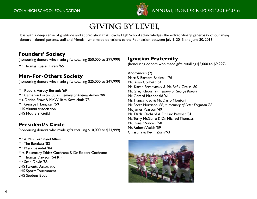

# **Giving by Level**

It is with a deep sense of gratitude and appreciation that Loyola High School acknowledges the extraordinary generosity of our many donors - alumni, parents, staff and friends - who made donations to the Foundation between July 1, 2015 and June 30, 2016.

### **Founders' Society**

(honouring donors who made gifts totalling \$50,000 to \$99,999)

Mr. Thomas Russell Pirelli '65

## **Men-For-Others Society**

(honouring donors who made gifts totalling \$25,000 to \$49,999)

Mr. Robert Harvey Beriault '69 Mr. Cameron Fortin '00, *in memory of Andrew Armeni '00* Ms. Denise Shaw & Mr. William Kovalchuk '78 Mr. George F. Lengvari '59 LHS Alumni Association LHS Mothers' Guild

## **President's Circle**

(honouring donors who made gifts totalling \$10,000 to \$24,999)

Mr. & Mrs. Ferdinand Alfieri Mr. Tim Barakett '82 Mr. Mark Beaudet '84 Mrs. Rosemary Tabisz Cochrane & Dr. Robert Cochrane Mr. Thomas Dawson '54 RIP Mr. Sean Doyle '83 LHS Parents' Association LHS Sports Tournament LHS Student Body

## **Ignatian Fraternity**

(honouring donors who made gifts totalling \$5,000 to \$9,999)

Anonymous (2) Marc & Barbara Babinski '76 Mr. Brian Corbett '64 Ms. Karen Seredynsky & Mr. Rafik Greiss '80 Mr. Greg Khouri, *in memory of George Khouri* Mr. Gerard Macdonald '61 Ms. Franca Riso & Mr. Dario Montoni Mr. Scott Morrison '88, *in memory of Peter Ferguson '88* Mr. James Pearson '49 Ms. Darla Orchard & Dr. Luc Prevost '81 Ms. Terry McGuire & Dr. Michael Thomassin Mr. Ronald Vincelli '58 Mr. Robert Walsh '59 Christina & Kevin Zorn '93

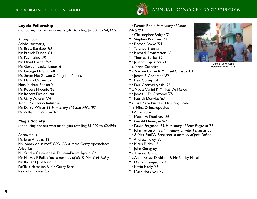

#### **Loyola Fellowship**

(honouring donors who made gifts totalling \$2,500 to \$4,999)

Anonymous Adobe *(matching)* Mr. Brett Barakett '83 Mr. Patrick Dubee '64 Mr. Paul Fahey '70 Mr. David Fortier '59 Mr. Gordon Lackenbauer '61 Mr. George McGinn '60 Ms. Susan MacGowan & Mr. John Murphy Mr. Marco Ottoni '87 Hon. Michael Phelan '64 Mr. Robert Phoenix '63 Mr. Robert Piccioni '90 Mr. Gary W. Ryan '74 Tech / Pro Heavy Industrial Mr. Darryl White '88, *in memory of Lorne White '93* Mr. William H. Wilson '49

#### **Magis Society**

(honouring donors who made gifts totalling \$1,000 to \$2,499)

Anonymous Mr. Evan Antipas '12 Ms. Nancy Anissimoff, CPA, CA & Mtre Gerry Apostolatos Arborite Ms. Sandra Castaneda & Dr. Jean-Pierre Ayoub '82 Mr. Harvey F. Bailey '66, *in memory of Mr. & Mrs. G.H. Bailey* Mr. Richard J. Balfour '66 Dr. Talia Hamalian & Mr. Gerry Bard Rev. John Baxter '52

Mr. Dennis Bodin, *in memory of Lorne White '93* Mr. Christopher Bolger '74 Mr. Stephen Boutilier '73 Mr. Roman Boyko '54 Mr. Terence Brennan Mr. Michael Bronstetter '66 Mr. Thomas Burke '80 Mr. Joseph Caporicci '71 Ms. Maria Carneiro Ms. Nadine Caban & Mr. Paul Christie '83 Mr. James E. Cochrane '82 Mr. Paul Colvey '54 Mr. Paul Czetwertynski '95 Ms. Nadia Canini & Mr. Pat De Marco Mr. James L. Di Giacomo '75 Mr. Patrick Donvito '63 Ms. Lara Krivokucha & Mr. Greg Doyle Mrs. Mina Drimaropoulos DTZ Barnicke Mr. Matthew Dunlavey '86 Mr. Gerald Dunnigan '49 Mr. David Ferguson '89, *in memory of Peter Ferguson '88* Mr. John Ferguson '85, *in memory of Peter Ferguson '88* Mr. & Mrs. Paul W. Ferguson, *in memory of Jane Dubee* Mr. Andrew Foley '80 Mr. Klaus Fuchs '65 Mr. John Geraghty Ms. Theresa Gilmour Ms. Anna Krista Davidson & Mr. Shelby Hacala Mr. Daniel Hampson '67 Mr. Kevin Healy '63 Mr. Mark Heselton '75



Dominican Republic Experience Week 2016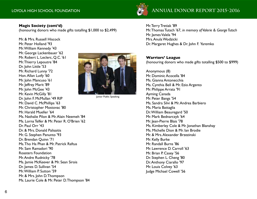

### **Magis Society (cont'd)**

(honouring donors who made gifts totalling \$1,000 to \$2,499)

Mr. & Mrs. Russell Hiscock Mr. Peter Holland '93 Mr. William Kennedy '43 Mr. George Lackenbauer '62 Mr. Robert L. Leclerc, Q.C. '61 Mr. Thierry Lepoutre '84 Dr. John Little '53 Mr. Richard Lunny '72 Hon. Allan Lutfy '60 Mr. John Mancuso '61 Mr. Jeffrey Marit '89 Mr. John McGee '43 Mr. Kevin McGilly '81 Dr. John F. McMullan '49 RIP Mr. David C. McPhillips '63 Mr. Christopher Mostovac '80 Mr. Harald Mueller '64 Ms. Nathalie Pilon & Mr. Alain Neemeh '84 Ms. Lorna Telfer & Mr. Peter R. O'Brien '62 Dr. Paul Orr '43 Dr. & Mrs. Donald Palisaitis Mr. G. Stephen Panunto '93 Dr. Brendan Quinn '71 Ms. Tho Ha Phan & Mr. Patrick Raftus Mr. Sam Ramadori '90 Roasters Foundation Mr. Andre Rudnicky '78 Ms. Jamie McKeever & Mr. Sean Sirois Dr. James D. Sullivan '54 Mr. William P. Sutton '59 Mr. & Mrs. John D. Thompson Ms. Laurie Cole & Mr. Peter D. Thompson '84



Junior Public Speaking

Mr. Terry Tretiak '89 Mr. Thomas Tutsch '67, *in memory of Valerie & George Tutsch* Mr. James Valela '94 Mrs. Anula Wodzicki Dr. Margaret Hughes & Dr. John F. Yaremko

### **Warriors' League**

(honouring donors who made gifts totalling \$500 to \$999)

Anonymous (8) Mr. Dominic Acocella '84 Ms. Gianna Antonecchia Ms. Cynthia Bell & Mr. Ezio Argento Mr. Philippe Arrata '91 Ayming Canada Mr. Peter Bangs '54 Ms. Sandra Silvi & Mr. Andrea Barbiero Ms. Maria Battaglia Dr. William Beauregard '50 Mr. Mark Bednarczyk '64 Mr. Jean-Pierre Blais '78 Ms. Kimberley Cole & Mr. Jonathan Blanshay Ms. Michelle Dion & Mr. Ian Brodie Mr. & Mrs. Alexander Brzezinski Mr. Kelly Burke Mr. Randall Burns '86 Mr. Lawrence D. Carroll '63 Mr. Brian P. Casey '56 Dr. Stephen L. Cheng '80 Dr. Anthony Ciarallo '97 Mr. Louis Colvey '63 Judge Michael Cowell '56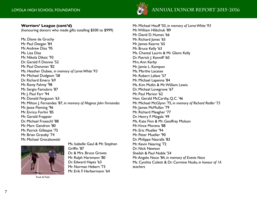#### **Warriors' League (cont'd)**

(honouring donors who made gifts totalling \$500 to \$999)

Ms. Diane de Gruchy Mr. Paul Deegan '84 Mr. Andrew Dias '95 Ms. Lisa Dias Mr. Nikola Diksic '93 Dr. Gerald F. Dionne '52 Mr. Paul Donovan '82 Ms. Heather Dubee, *in memory of Lorne White '93* Mr. Michael Dudgeon '58 Dr. Richard Emery '69 Mr. Ramy Fahmy '98 Mr. Sergio Famularo '87 Mr. J. Paul Farr '94 Mr. Donald Ferguson '63 Mr. Milton J. Fernandes '87, *in memory of Magnus John Fernandes* Mr. Jesse Fleming '96 Mr. Enrico Forlini '85 Mr. Gerald Frappier Dr. Michael Froeschl '88 Mr. Marc Gendron '80 Mr. Patrick Gillespie '75 Mr. Brian Grassby '74 Mr. Michael Greczkowski



Track & Field

Ms. Isabelle Gaul & Mr. Stephen Griffin '87 Dr. & Mrs. Bruce Groves Mr. Ralph Hartmann '80 Dr. Edward Hayes '63 Mr. Norman Hebert '73 Mr. Erik F. Herbermann '64



Mr. Michael Heuff '03, *in memory of Lorne White '93* Mr. William Hlibchuk '89 Mr. David D. Humes '66 Mr. Richard Jones '65 Mr. James Kearns '65 Mr. Bruce Kelly '63 Ms. Chantal Laurin & Mr. Glenn Kelly Dr. Patrick J. Kenniff '60 Mrs. Ann Kerby Mr. Jamie L. Kompon Ms. Marthe Lacasse Mr. Robert Lafave '57 Mr. Michael Lapenna '84 Ms. Kim Mullin & Mr. William Lewis Dr. Michael Lovegrove '67 Mr. Paul Marion '62 Hon. Gerald McCarthy, Q.C. '46 Mr. Michael McGlynn '75, *in memory of Richard Redler '75* Mr. James McMullan '79 Mr. Richard Meagher '77 Dr. Henry F. Mizgala '49 Ms. Kate Finn & Mr. Geoffrey Molson Mr. Vince Morena '88 Mr. Eric Mueller '94 Mr. Peter Mueller '90 Dr. Philippe Nasralla '83 Mr. Kevin Nearing '72 Dr. Nick Newton Sheilah & Paul Noble '54 Mr. Angelo Noce '84, *in memory of Enevio Noce* Ms. Cynthia Coletti & Dr. Carmine Nudo, *in honour of 1A teachers*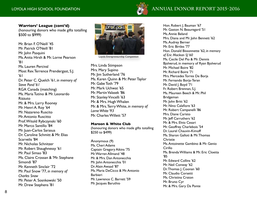

### **Warriors' League (cont'd)**

(honouring donors who made gifts totalling \$500 to \$999)

Mr. Brian F. O'Neill '45 Mr. Patrick O'Neill '81 Mr. John Pasquini Ms. Anita Hirsh & Mr. Lorne Pearson '81 Ms. Lauren Percival Most Rev. Terrence Prendergast, S.J. '61 Dr. Peter C. Quelch '61, *in memory of Steve Pond '61* RGA Canada (matching) Ms. Maria Tutino & Mr. Leonardo Rizzuto Mr. & Mrs. Larry Rooney Mr. Henri A. Roy '64 Mr. Nazareno Ruscito Mr. Antonio Ruscitto Prof. Witold Rybczynski '60 Mr. Marco Santillo '84 Mr. Juan-Carlos Sarasua Dr. Caroline Schmitt & Mr. Elias Scarvelis '84 Mr. Nicholas Schnitzer Mr. Robert Shaughnessy '61 Mr. Paul Simao '83 Ms. Claire Crossan & 'Mr. Stephane Simondi '87 Mr. Kenneth Sinclair '72 Mr. Paul Snow '77, *in memory of Charles Snow* Mr. Peter A. Sosnkowski '50 Mr. Drew Stephens '81



Loyola Entrepreneurship Competition

Mrs. Linda Stimpson Mrs. Mary Supino Mr. Jim Sutherland '76 Ms. Karen Quinn & Mr. Peter Taylor Mr. Gabe Toth '79 Mr. Mark Uchwat '65 Mr. Martin Valasek '86 Mr. Stanley Vincelli '63 Mr. & Mrs. Hugh Whalen Mr. & Mrs. Terry White, *in memory of Lorne White '93* Mr. Charles Willett '57

#### **Maroon & White Club**

(honouring donors who made gifts totalling \$250 to \$499)

Anonymous (9) Ms. Cheri Adams Captain Gregory Aikins '75 Mr. Warren Allmand '48 Mr. & Mrs. Dan Antonecchia Mr. John Antonecchia '01 Dr. Alain Awaad '87 Ms. Maria DeCicco & Mr. Antonio Barbieri Mr. Lawrence C. Barrett '59 Mr. Jacques Baruthio

Hon. Robert J. Bauman '67 Mr. Gaston N. Beauregard '51 Ms. Annie Beland Mrs. Diana and Mr. John Bennett '62 Ms. Audrey Berner Mr. Eric Birtles '77 Hon. Donald Bissonnette '62, *in memory of Eric Maclean SJ '60* Ms. Cecile Del Pio & Mr. Dennis Bjolverud, in memory of Ryan Bjolverud Mr. Michael Boire '82 Mr. Richard Boire '71 Mrs. Mercedes Torres De Borja Mr. Fernando Borja-Teran Mr. David J. Boyd '71 Fr. Robert Brennan, S.J. Ms. Maureen Beech & Mr. Phil Bridgeman Mr. John Britt '62 Mr. Nino Calafiore '63 Mr. Robert Campanelli '86 Mrs. Diane Caristo Mr. Jeff Carruthers '62 Mr. & Mrs. Elvio Cesari Mr. Geoffrey Charlebois '54 Dr. Laurel Chauvin-Kimoff Ms. Sharon Galloti & Mr. Thomas Christie Ms. Antoinette Gambino & Mr. Genio Cirillo Ms. Brenda Williams & Mr. Eric Cloetta '85 Mr. Edward Collins '62 Mr. Neil Conway '62 Dr. Thomas J. Coonan '60 Mr. Claudio Corsetti Ms. Christina Craton Mr. Bruno Cyr Mr. & Mrs. Gary Da Ponte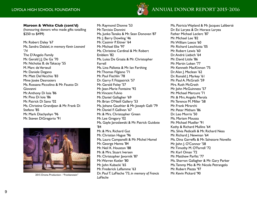

#### **Maroon & White Club (cont'd)**

(honouring donors who made gifts totalling \$250 to \$499)

Mr. Robert Daley '67 Ms. Sandra Dalziel, *in memory Kevin Leonard '74* The D'Angelo Family Mr. Gerald J.J. De Ga '70 Mr. Nicholas B. de Takacsy '55 M. Marc de Verteuil Mr. Daniele Degano Mr. Matt Del Vecchio '83 Mme Josée Desrosiers Ms. Rossana Piccolino & Mr. Fausto Di Giovanni Mr. Anthony Di Ioia '86 Mr. Pino Di Ioia '86 Mr. Patrick Di Sano '02 Ms. Christine Grandjean & Mr. Frank Di Stefano '85 Mr. Mark Diachyshyn '96 Mr. Steven DiGregorio '91



2015 Drama Production - "Frankenstein"

Mr. Raymond Dionne '53 Mr. Tarcisio Donnini Ms. Junko Tanaka & Mr. Sean Donovan '87 Mr. J. Barry Dowling '46 Mr. Casimir P. Eitner '64 Mr. Michael Elie '97 Ms. Christine Cardinal & Mr. Robert Emblem '82 Ms. Luisa De Grazia & Mr. Christopher Farrell Ms. Lina Pallotta & Mr. Ian Farthing Mr. Thomas Filgiano '71 Mr. Paul Fischlin '78 Dr. Garry F. Fitzpatrick '57 Mr. Gerald Foley '57 Mr. Jean-Marie Fontaine '92 Mr. Vincent Fulvio Mr. Daniel Gallagher '69 Mr. Brian O'Neill Gallery '53 Ms. Johane Gauthier & Mr. Joseph Galli '79 Mr. Daniel F. Gallivan '67 Mr. & Mrs. Christopher Green Mr. Lee Gregory '02 Ms. Gayle Jaroslawski & Mr. Patrick Guidote '84 Mr. & Mrs. Richard Gut Mr. Christian Hague '96 Ms. Laura Campanelli & Mr. Michel Hamel Mr. George Hanna '84 Mr. Neil K. Houston '88 Mr. & Mrs. Stuart Iversen Mr. Christopher Javornik '87 Mr. Warren Kotler '80 Mr. John Kubacki '65 Mr. Frederick Laflamme '63 Dr. Paul T. LaFleche '73, *in memory of Francis LaFleche*

Ms. Patricia Wayland & Mr. Jacques Laliberté Dr. Esi Laryea & Dr. Horace Laryea Father Michael Leclerc '87 Mr. Michael Lee '82 Mr. William Leece '60 Mr. Richard Leschiutta '05 Mr. Robert Lewis '60 Dr. André Liebich '64 Mr. David Little '86 Mr. Martin Loken '77 Mr. Kenneth MacKinnon '75 Dr. Alan J. Maclean '62 Dr. Ronald J. Markey '61 Mr. Paul A. McGrath '59 Mrs. Ruth McGrath Mr. John McGuinness '57 Mr. Michael Mercure '71 Mr. & Mrs. Angelo Merola Mr. Terence M. Miller '58 Mr. Frank Mirarchi Mr. Peter Mitham '86 Dr. Leo Morris '50 Ms. Mariam Moussa Mr. Michael Mueller '91 Kathy & Richard Mullins '64 Ms. Silvia Pedicelli & Mr. Richard Ness Mr. Richard J. Newman '64 Ms. Dina Garreffa & Mr. Salvatore Novello Mr. John J. O'Connor '58 Mr. Timothy M. O'Farrell '72 Mr. Karl Oman '72 Mr. Matthew Parfitt '77 Ms. Sharron Gallagher & Mr. Gary Parker Ms. Tammy Mio & Mr. Nicola Petrangelo Mr. Robert Piazza '97 Mr. Kevin Pickard '90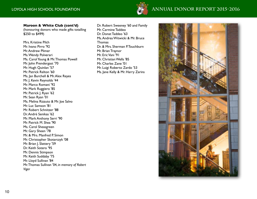

# **ANNUAL DONOR REPORT 2015-2016 ANNUAL DONOR REPORT** 2015-2016

#### **Maroon & White Club (cont'd)**

(honouring donors who made gifts totalling \$250 to \$499)

Mrs. Kristine Pilch Mr. Ivano Pirro '92 Mr. Andrew Plimer Ms. Wendy Polverari Ms. Carol Young & Mr. Thomas Powell Mr. John Prendergast '70 Mr. Hugh Quinlan '57 Mr. Patrick Relton '60 Ms. Jan Burchell & Mr. Alex Reyes Mr. J. Kevin Reynolds '44 Mr. Marco Romani '92 Mr. Mark Ruggiero '85 Mr. Patrick J. Ryan '62 Mr. Sean Ryan '01 Ms. Melina Rizzuto & Mr. Joe Salvo Mr. Luc Samson '81 Mr. Robert Schnitzer '88 Dr. André Senikas '62 Mr. Mark Anthony Serri '90 Mr. Patrick M. Shea '90 Ms. Carol Sheasgreen Mr. Gary Sheen '78 Mr. & Mrs. Manfred P. Simon Mr. Christopher Skotarczyk '08 Mr. Brian J. Slattery '59 Dr. Keith Sotero '95 Mr. Dennis Stimpson Mr. Keith Suddaby '75 Mr. Lloyd Sullivan '84 Mr. Thomas Sullivan '04, *in memory of Robert Viger*

Dr. Robert Sweeney '60 and Family Mr. Carmine Taddeo Dr. Donat Taddeo '63 Ms. Andrea Witwicki & Mr. Bruce Thomas Dr. & Mrs. Sherman P. Touchburn Mr. Brian Traynor Mr. Eric Vani '91 Mr. Christian Wells '85 Mr. Charles Zane '01 Mr. Luigi Roberto Zardo '53 Ms. Jane Kelly & Mr. Harry Zarins

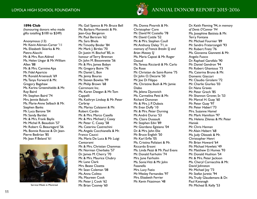

#### **1896 Club**

(honouring donors who made gifts totalling \$100 to \$249)

Anonymous (13) Mr. Kevin Aikman-Carter '11 Ms. Elizabeth Skierka & Mr. Pietro Alacchi Mr. & Mrs. Ron Aldred Ms. Helen Ungar & Mr. William Allen '88 Mr. & Mrs. Carmine Apa Mr. Fidel Aparicio Mr. Ronald Arsenault '69 Ms. Tanya Forward & Mr. Gregory Bagshaw Ms. Karina Greenshields & Mr. Roy Baird Mr. Stephen Baird '74 Mrs. Jennie Baluch Ms. Marie-Anne Selbach & Mr. Stephen Banks Mr. Luca Barone '04 Mr. Sandy Bartlet Mr. & Mrs. Frank Baylis Mr. Michel R. Beaudoin '57 Mr. Robert G. Beauregard '56 Ms. Bonnie Roscoe & Dr. Jean-Pierre Bedirian '85 Mr. Jean P. Beland '61



Service Week in Montreal

Ms. Gail Spence & Mr. Bruce Bell Ms. Barbara Morawski & Mr. Jean-Guy Bergeron Mr. Paul Bertram '62 Ms. Sara Bhola Mr. Timothy Binder '84 Mr. Mark J. Birtles '70 Dr. Justin H. Bischof '85, in honour of Terry Brennan Dr. John M. Bissonnette '56 Mr. & Mrs. James Bobyn Mr. Gregory Boire '76 Mr. Daniel L. Bon Ms. Jenny Bouras Mr. Steven Bowles '99 Mr. Philip Brown '68 Cairnmont Inc. Ms. Karen Deegan & Mr. Tom Cappelli Ms. Kathryn Lindsay & Mr. Peter **Carbray** Ms. Marisa Colaianni & Mr. Robert Cardin Mr. & Mrs. Marco Casella Mr. & Mrs. Michael I. Casey Mr. Peter C. Casey '58 Ms. Caterina Castrechini Ms. Angela Cocchianella & Mr. Franco Caucci Ms. Maria De Luca & Mr. Luigi Centorami Mr. & Mrs. Christian Chammas Mr. Norman Cherbaka '57 Dr. James M. Cherry '70 Mr. & Mrs. Maurice Chubry Mr. Lane Clark Mrs. Beate Cloetta Mr. Sean Coleman '08 Ms. Anna Colitto Ms. Maureen Cook Mr. Peter J. Cook '62 Mr. Brian Cooney '60

Ms. Donna Pivarnik & Mr. Christopher Core Mr. David W. Costello '78 Mr. David Cottle '52 Mr. & Mrs. Stephen Coull Mr. Anthony Daley '71, *in memory of Francis Breslin SJ and Brian Massey SJ* Ms. Maria Capozi & Mr. Roger Daoud Ms. Teresa Ricciardi & Mr. Carlo De Rose Mr. Christian de Saint-Rome '75 Dr. John O. Decarie '50 Mr. Joe Di Filippo Ms. Christine Bush & Mr. Jamie Diabo Ms. Jelena Djurovich Ms. Carmelina Petti & Mr. Richard Donovan Mr. & Mrs. J. P. Dubois Mr. Evan Duffy '10 Mr. & Mrs. Peter Durning Mr. André Durso '53 Ms. Claire Dussault Mr. Stephen Edvi '89 Mr. Giordano Egiziano '04 Dr. & Mrs. John Elie Mr. Bruce English '50 Mr. Karl Erfle '05 Ms. Cristina Poliziani & Mr. Riccardo Ersoni Ms. Linda Pezzi & Mr. Paul Evans Mr. Donald Fairholm '74 Mrs. June Fairholm Ms. Sonia Vitti & Mr. John Fasanella Mrs. Lucy Fazio Mr. Wesley Fernandes '97 Mrs. Elizabeth Ferrier Mr. Kevin Fitzsimon '48

Dr. Keith Fleming '94, *in memory of Denis O'Connor '94* Ms. Josephine Battista & Mr. Terry Fontana Mr. Michael Fournier '89 Mr. Sandro Fratarcangeli '93 Mr. Robert Fretz '76 Ms. Giovanna Giannetti & Mr. Angelo Fuoco Dr. Raphael Garofalo '90 Mr. Daniel Gendron '94 Mr. Robert Ghantous '73 Ms. Caterina Bruno & Mr. Domenic Giaccari Mr. Claudio Girolami '72 Mr. Charlie Giurleo '03 Dr. Nana Graves Mr. Peter Grech '85 Mr. Shannon Grover, Sr. '53 Mr. Marcel H. Guay '60 Mr. Peter Guay '97 Mr. Peter Haberl '73 Mrs. Suzanne Hamel Mr. Mark Hamilton '97 Ms. Helena Zilenas & Mr. Peter Haniak Mr. Chris Hannan Mr. Alain Hebert '68 Ms. Judy Oleszek & Mr. Christopher Henri Mr. Brian Howard '64 Mr. Michael Howlett '49 Mr. Matthew D. Humes '93 Mr. Donald Hushion '54 Mr. & Mrs. Peter Jackson Ms. Cheryl Cornacchia & Mr. David Johnston Mr. Michael Joy '73 Mr. Stefan Juretic '94 Ms. Trudy Glaudemans & Dr. Paul Kavanagh Mr. Micheal B. Kelly '53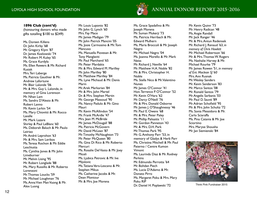

#### **1896 Club (cont'd)**

(honouring donors who made gifts totalling \$100 to \$249)

Ms. Doreen Killens Dr. John Kirby '68 Mr. Gregory Klym '87 Dr. James Kozlowski '74 Mr. Robert M. Kuley '65 Ms. Grace Kurdyla Ms. Ellen Rewers & Mr. Richard Kusiak Mrs. Teri Laberge Ms. Patricia Gauthier & Mr. Andrew Lafortune Mr. Blair Lalonde '06 Mr. & Mrs. Guy L. Lalonde, in memory of Gina Lorenson Mr. Nhan Lam Ms. Sandra D'Alesio & Mr. Robert Lanno Mr. Kevin Larkin '54 Ms. Mary Chiovitti & Mr. Rocco Lavalle Mr. Mark Lazare Shirley & Paul LeBlanc '60 Ms. Deborah Baluch & Mr. Paulo Leiriao Mr. André Leprohon '63 Mr. & Mrs. Sam Lerikos Ms. Teresa Rochon & Mr. Eddie **Leschiutta** Ms. Cynthia Jones & Mr. John Limeburner Mr. Melvin Lising '95 Mr. Robert Longlade '88 Ms. Mary Russillo & Mr. Roberto Lorenzoni Mr. Thomas Loucks '59 Mr. Michael Loughman '76 Ms. Anna Vien Man Vuong & Mr. Alex Luong

Mr. Louis Luponio '82 Mr. John G. Lynch '60 Mrs. Fay Mace Mr. James Madigan '79 Mr. John Patrick Mancini '05 Ms. Josie Carmosino & Mr. Tom **Mancuso** Ms. Manuella Piovesan & Mr. Tony Manglaviti Mr. Paul Marchand '65 Mr. Peter Mardakis Mr. & Mrs. Edward M. Marilley Mr. John Marilley '80 Mr. Matthew Marilley '84 Ms. Lyne Michaud & Mr. Denis Marin Mr. Arek Markarian '84 Mr. & Mrs. John Martel Dr. & Mrs. Stephen Martin Mr. George Massoud '90 Ms. Nancy Padulo & Mr. Gino Mauri Mr. Kevin McAllindon '54 Mr. Frank McArdle '47 Mrs. Jean M. McBride Mr. James McDougall '88 Ms. Patricia McGovern Mr. David McLean '87 Mr. Timothy McNaughton '73 Mr. Peter McQueen '80 Ms. Gina Di Rico & Mr. Roberto Mercuri Ms. Rosalie Del Vasto & Mr. Joey Miceli Ms. Ljubica Petrovic & Mr. Ive **Mijolovic** Ms. Tatiana Vera-Lescano & Mr. Stephen Mikus Ms. Catherine Jacobs & Mr. Dean Montour Mr. & Mrs. Joe Morena

Ms. Grace Spadafino & Mr. Joseph Morena Mr. Suman Mukerji '73 Ms. Patricia Herrbach & Mr. Edward Mulhern Ms. Maria Broccoli & Mr. Joseph Negro Mr. Michael Negro '04 Ms. Joanna Morello & Mr. Mark Neiss Mr. Richard J. Neville '64 Mr. Matthew H.A. Noble '82 Mr. & Mrs. Christopher H. Noble Ms. Stella Nico & Mr. Valentino Nunes Mr. James O'Connor '41 Hon. Terrence P. O'Connor '52 Mr. Kevin O'Hara '62 Mr. Darcy O'Neill '76 Mr. & Mrs. Donald Osborne Mr. James J. O'Shaughnessy '46 Mr. Paul E. Owens '68 Mr. & Mrs. Peter Paley Mr. Phillip Palisaitis '11 Mr. Gordon Panneton '43 Mr. & Mrs. D.H. Park Mr. Thomas Park '95 Mr. G. Anthony Parr '53, in memory of Gladys & Herb Parr Ms. Christina Mitchell & Mr. Paul Paterno / Centre Kumon Vimont Ms. Laurinda Diaz & Mr. Rodney **Perkins** Mr. Edmundo Perrotta '64 Mr. Bohdan Piech Ms. Lucia D'Adamo & Mr. Donato Pirro Ms. Margaret Poku & Mrs. Mary Poku RIP Dr. Daniel H. Poplawski '72

Mr. Kevin Quinn '73 Mr. Henry Radican '48 Ms. Angie Randall Mr. Jack Ranger '46 Mr. & Mrs. Antun Redensek Mr. Richard J. Renaud '63, *in memory of Chris Howlett* Mr. Michael Robertson '66 Mr. & Mrs. Thomas W. Rogers Ms. Nathalie Harvey & Mr. Michael Rourke '79 Mr. James Rowen '51, *in memory of Eric Maclean SJ '60* Mrs. Ann Rusnak Mr. Wesley Sanders Mr. Kevin Sanderson '83 Mr. Marco Santos '08 Mr. Ronald Santos '79 Mr. Angelis Sarbanis '03 Mr. Paul D. Sauvé '89 Mr. Adrian Schofield '95 Mr. & Mrs. John Schultz '72 Ms. Sonia Messidoro & Mr. Carlo Sciaraffa Ms. Pina Catania & Mr. Joe Sciortino Mrs. Maryse Shousha Mr. Jan Siemienski '84



Think Pink Fundraiser 2015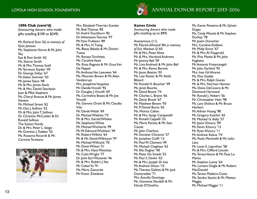

## **ANNUAL DONOR REPORT** 2015-2016

#### **1896 Club (cont'd)**

(honouring donors who made gifts totalling \$100 to \$249)

Mr. Richard Sims '62, *in memory of Kevin Johnson* Ms. Stephanie Horne & Mr. John Sky Sue & Ron Smith '62 Ms. Sharon Smith Mr. & Mrs. Thomas Snell Mr. Terrance Snyder '49 Dr. George Soltys '67 Mr. Adam Sommer '03 Mr. James Stace '48 Mr. & Mrs. James Stack Mr. & Mrs. Daniel Stechysin Joan & Mike Stephens Ms. Cheryl Roscoe & Mr. James **Stevens** Mr. Michael Street '62 Mr. Dan J. Sullivan '52 Mr. & Mrs. John T. Sullivan Dr. Christine McCusker & Dr. Ronald Sullivan The Sutton Family Dr. & Mrs. Peter L. Szego Mr. Dominic J. Taddeo '55 Ms. Rosanna Riccardi & Mr. Carmine Tarsitano



Mrs. Elizabeth Therrien Scanlan Mr. Bob Thomas '85 Dr. André Touchburn '82 Dr. Athanasios Tournas '97 Mr. Yann Trubiano '89 Mr. & Mrs. H. Tsang Ms. Bessy Babalis & Mr. Dimitri Tsatas Mr. Renato Turchetta Ms. Caroline Vaast Ms. Rosa Ragosta & Mr. Guus Van De Peppel Mr. Anthony Van Leeuwen '64 Ms. Maureen Brown & Mr. Alain **Vandecruys** Mrs. Josephine Vaupshas Mr. Davide Vincelli '92 Dr. Douglas J. Vincelli '69 Ms. Carmelina Bozzo & Mr. Joe Vincelli Ms. Gemma Orsini & Mr. Claudio **Vitti** Mr. Derek Walsh '69 Dr. Michael Watkins '73 Mr. & Mrs. Gerald Whalen Ms. Stephanie White Mr. Michael Wichterle '99 Mr. W. Edmund Wickham '49 Mr. Robert Wilkins '64 Mr. & Mr. David Wilkinson '97 Mr. Michael Willcock '70 Mr. Donn Wilson '51 Mr. & Mrs. Hans Wosnitza Mr. Colin Wright '77 Dr. John Earl Wynands '46 Mr. & Mrs. Robert J. Yee Mr. Cabot Yu '91 Ms. Maria Zaccardo Mr. Victor Zwetkow

**Kairos Circle**

(honouring donors who made gifts totalling up to \$99)

Anonymous (11) Mr. Patrick Allmand '84, *in memory of Eric Maclean SJ '60* Mr. & Mrs. Peter Alves Mr. & Mrs. Hartland Andrews Mr. Jeremy Ball '09 Ms. Lina Andreoli & Mr. John Ball Mr. & Mrs. Remo Barone Mr. Jason Beaton '03 Ms. Lise Tessier & Mr. Keith Blizard Mr. Ronald H. Boucher '49 Ms. Janet Bourke Mr. David Bowie '74 Mr. Charles L. Braive '66 Mr. Denis Brault '67 Mr. Matthew Brown '93 Mr. P. Daniel Burns '65 Ms. Monica Callon Mr. & Mrs. Serge Campanelli Mr. Ronald Cappelli '52 Ms. Maria Pacitto & Mr. Sam Casola Mr. John Charlton Mr. Dunstan Chicanot '57 Mr. Jonathan Cioffi '13 Mr. Paul W. Clement '49 Mr. Michael Cloghesy '63 Mr. Elie Dagher '00 Mr. Peter De Smedt '53 Mr. Paul S. Devlin '62 Mr. & Mrs. Joseph Di Ioia Mr. Andrew Dixon '10 Ms. Theresa Galletti & Mr. Jack Domaradzki '71 Mrs. Estrella Domingo Ms. Giovanna Nardelli & Mr. Nicola D'Onofrio

Ms. Karen Postema & Mr. Sylvain Dugas Ms. Cindy Woods & Mr. Stephen Dunlop '78 Mr. Justin Durocher Mrs. Caroline Emblem Mr. Philip Enros '67 Mr. & Mrs. Al Fitzgerald Ms. Pina Mattei & Mr. John Foglietta Mr. Antonio Fratarcangeli Mr. Julio Garland '92 Mrs. Ines Gil Alvarez Ms. Pina Giobbi Mr. & Mrs. Ralph Giunta Mr. & Mrs. Norman Hannan Ms. Diana DeCesaris & Mr. Desmond Harwood Mr. Ronald J. Hebert '56 Mr. Christopher Hein '98 Ms. Lara Shelton & Mr. Bruce Herbert Mr. Adrian Huang '98 Mr. Gregory Katchin '65 Mr. Michael G. Kelly '57 Mr. Jason Khoury '09 Mr. Kevin Khoury '13 Mr. Ryan Khoury '11 Mr. Andrew Kokus '74 Ms. Paola Martinelli & Mr. Lelio Lato Mr. Louis E. Leprohon '58 Mr. & Mrs. Clifford Lincoln Ms. Teresa Vescio & Mr. Tony Lo Manto Mr. Stephen Lunny '64 Ms. Loriann Daigle & Mr. Robert **MacDonald** Ms. Teresa Madeira-Costa Ms. Sandra Santini & Mr. Matteo Maggio Mr. Michael Maggio '11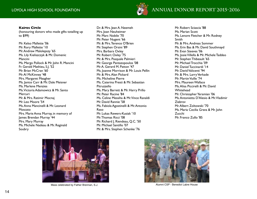

#### **Kairos Circle**

(honouring donors who made gifts totalling up to \$99)

Mr. Kelso Mallette '06 Mr. Rory Mallette '10 Mr. Andrew Malolepszy '65 Ms. Lily Kieliszczyk & Mr. Domenic Mancini Ms. Margo Pollock & Mr. John R. Mancini Fr. Gerald Mathieu, S.J. '52 Mr. Brian McCran '60 Mr. Al McKinney '48 Mrs. Margaret Meagher Ms. Janice Carr & Mr. Dale Meisner Ms. Marlene Menzies Ms. Victoria Adamowicz & Mr. Santo Mercuri Mr. & Mrs. Ratimir Mocnaj Mr. Leo Moore '54 Ms. Anna Mancinelli & Mr. Leonard Moscato Mrs. Marie Anna Murray, in memory of James Brendan Murray '44 Mrs. Mary Murray Ms. Michele Nadeau & Mr. Reginald Soubry

Dr. & Mrs. Jean A. Neemeh Mrs. Joan Neuheimer Mr. Marc Nobile '70 Mr. Peter Nugent '66 Mr. & Mrs. Terence O'Brien Mr. Stephen Orsini '89 Mrs. Barbara Oxley Mr. Robert Oxley '75 Mr. & Mrs. Pasquale Palmieri Mr. George Pantazopoulos '08 Mr. A. Gerard M. Patton '47 Ms. Joanne Morrison & Mr. Louis Pellin Mr. & Mrs. Alan Pickard Ms. Micheline Pierre Ms. Caterina Presti & Mr. Sebastian Pitruzzello Ms. Mary Barrett & Mr. Harry Prillo Mr. Peter Racine '84 Ms. Celine Messiha & Mr. Vince Ranaldi Mr. David Rannie '58 Ms. Fabiola Agostinelli & Mr. Antonio Raso Mr. Lukas Rewers-Kusiak '10 Mr. Thomas Ricci '08 Mr. Richard J. Riendeau, Q.C. '50 Mr. Michael Santillo '07 Mr. & Mrs. Stephen Schenke '76

Mr. Robert Sciascia '88 Ms. Marian Scott Ms. Lenore Fletcher & Mr. Rodney Smith Mr. & Mrs. Andreas Sommer Ms. Erin Bas & Mr. David Southmayd Mr. Evan Steeves '06 Ms. Josie Villella & Mr. Michele Taddeo Mr. Stephen Thibeault '65 Mr. Michael Trocchia '09 Mr. Daniel Tuccinardi '14 Mr. David Valicenti '94 Mr. & Mrs. Larry Verkade Mr. Martin Vuille '74 Mrs. Maureen Wallace Ms. Alisa Piccirelli & Mr. David Whitehead Mr. Christopher Yeramian '06 Ms. Antonietta D'Alesio & Mr. Vladimir Ziabrov Mr. Albert Zoltowski '70 Ms. Maria Cecilia Grava & Mr. John Zucchi Mr. Franco Zullo '85



Mass celebrated by Father Brennan, S.J.



Alumni CSP - Benedict Labre House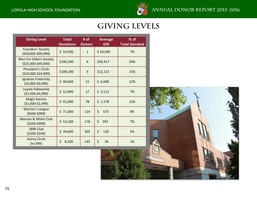

# **Giving Levels**

| <b>Giving Level</b>                                  | <b>Total</b><br><b>Donations</b> | # of<br><b>Donors</b> | Average<br>Gift | % of<br><b>Total Donated</b> |  |
|------------------------------------------------------|----------------------------------|-----------------------|-----------------|------------------------------|--|
| Founders' Society<br>$($ \$50,000-\$99,999)          | \$54,500                         | $\mathbf{1}$          | \$54,500        | 7%                           |  |
| Men For Others Society<br>(\$25,000-\$49,000)        | \$182,500                        | 6                     | \$30,417        | 24%                          |  |
| <b>President's Circle</b><br>$( $10,000 - $24,999 )$ | \$109,100                        | 9                     | \$12,122        | 15%                          |  |
| Ignatian Fraternity<br>$(55,000-59,999)$             | \$90,600                         | 15                    | \$6,040         | 12%                          |  |
| Loyola Fellowship<br>$(52,500-54,999)$               | \$52,900                         | 17                    | \$3,112         | 7%                           |  |
| <b>Magis Society</b><br>$(51,000-52,499)$            | \$91,900                         | 78                    | \$1,178         | 12%                          |  |
| Warrior's League<br>$(5500 - 5999)$                  | \$71,000                         | 124                   | Ś<br>573        | 9%                           |  |
| Maroon & White Club<br>$(5250 - 5499)$               | \$52,100                         | 178                   | Ś<br>293        | 7%                           |  |
| <b>1896 Club</b><br>$(5100 - 5249)$                  | \$ 39,600                        | 305                   | \$<br>130       | 5%                           |  |
| Kairos Circle<br>$(to$ \$99)                         | Ś<br>8,100                       | 145                   | \$<br>56        | 1%                           |  |

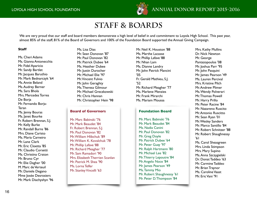

# **Staff & Boards**

We are very proud that our staff and board members demonstrate a high level of belief in and commitment to Loyola High School. This past year, almost 85% of the staff, 81% of the Board of Governors and 100% of the Foundation Board supported the Annual Giving Campaign.

#### **Staff**

Ms. Cheri Adams Ms. Gianna Antonecchia Mr. Fidel Aparicio Mr. Sandy Bartlet Mr. Jacques Baruthio Mr. Mark Bednarczyk '64 Ms. Annie Beland Ms. Audrey Berner Ms. Sara Bhola Mrs. Mercedes Torres De Borja Mr. Fernando Borja-Teran Ms. Jenny Bouras Ms. Janet Bourke Fr. Robert Brennan, S.J. Mr. Kelly Burke Mr. Randall Burns '86 Mrs. Diane Caristo Ms. Maria Carneiro Mr. Lane Clark Mr. Eric Cloetta '85 Mr. Claudio Corsetti Ms. Christina Craton Mr. Bruno Cyr Mr. Elie Dagher '00 M. Marc de Verteuil Mr. Daniele Degano Mme Josée Desrosiers Mr. Mark Diachyshyn '96

Ms. Lisa Dias Mr. Sean Donovan '87 Mr. Paul Donovan '82 Mr. Patrick Dubee '64 Ms. Heather Dubee Mr. Justin Durocher Mr. Michael Elie '97 Mr. Vincent Fulvio Mr. John Geraghty Ms. Theresa Gilmour Mr. Michael Greczkowski Mr. Chris Hannan Mr. Christopher Hein '98

#### **Board of Governors**

Mr. Marc Babinski '76 Mr. Mark Beaudet '84 Fr. Robert Brennan, S.J. Mr. Paul Donovan '82 Mr. William Hlibchuk '89 Mr. William K. Kovalchuk '78 Mr. Phillip Lafave '88 Mr. Richard Meagher '77 Mr. Sam Ramadori '90 Mrs. Elizabeth Therrien Scanlan Mr. Patrick M. Shea '90 Ms. Lorna Telfer Mr. Stanley Vincelli '63

Mr. Neil K. Houston '88 Ms. Marthe Lacasse Mr. Phillip Lafave '88 Mr. Nhan Lam Ms. Dianne Landry Mr. John Patrick Mancini '05 Fr. Gerald Mathieu, S.J. '52 Mr. Richard Meagher '77 Ms. Marlene Menzies Mr. Frank Mirarchi Ms. Mariam Moussa

#### **Foundation Board**

Mr. Marc Babinski '76 Mr. Mark Beaudet '84 Ms. Nadia Canini Mr. Paul Donovan '82 Mr. Greg Doyle Mr. Patrick Dubee '64 Mr. Peter Guay '97 Mr. Ralph Hartmann '80 Mr. Michael Lee '82 Mr. Thierry Lepoutre '84 Mr. Angelo Noce '84 Mr. James Pearson '49 Ms. Tammy Mio Mr. Robert Shaughnessy '61 Mr. Peter D. Thompson '84

Mrs. Kathy Mullins Dr. Nick Newton Mr. George Pantazopoulos '08 Mr. Joshua Parr '95 Mr. John Pasquini Mr. James Pearson '49 Ms. Lauren Percival Mrs. Kristine Pilch Mr. Andrew Plimer Ms. Wendy Polverari Mr. Thomas Powell Mr. Harry Prillo Mr. Peter Racine '84 Mr. Nazareno Ruscito Mr. Antonio Ruscitto Mr. Sean Ryan '01 Mr. Wesley Sanders Mr. Marco Santillo '84 Mr. Robert Schnitzer '88 Mr. Robert Shaughnessy '61 Ms. Carol Sheasgreen Mrs. Linda Stimpson Mrs. Mary Supino Ms. Anna Szczygielski Dr. Donat Taddeo '63 Mr. Carmine Taddeo Mr. Brian Traynor Ms. Caroline Vaast Mr. Eric Vani '91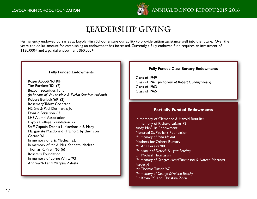

# **Leadership Giving**

Permanently endowed bursaries at Loyola High School ensure our ability to provide tuition assistance well into the future. Over the years, the dollar amount for establishing an endowment has increased. Currently, a fully endowed fund requires an investment of \$120,000+ and a partial endowment \$60,000+.

#### **Fully Funded Endowments**

Roger Abbott '63 RIP Tim Barakett '82 (2) Beacon Securities Fund *(In honour of W. Lonsdale & Evelyn Stanford Holland)* Robert Beriault '69 (2) Rosemary Tabisz Cochrane Hélène & Paul Desmarais Jr. Donald Ferguson '63 LHS Alumni Association Loyola College Foundation (2) Staff Captain Dennis L. Macdonald & Mary Marguerite Macdonald (Trainor), by their son Gerard '61 In memory of Eric Maclean S.J. In memory of Mr. & Mrs. Kenneth Maclean Thomas R. Pirelli '65 (6) Roasters Foundation In memory of Lorne White '93 Andrew '63 and Marysia Zaleski

#### **Fully Funded Class Bursary Endowments**

Class of 1949 Class of 1961 *(in honour of Robert F. Shaughnessy)* Class of 1963 Class of 1965

#### **Partially Funded Endowments**

In memory of Clemence & Harold Boutilier In memory of Richard Lafave '72 Andy McGillis Endowment Montreal St. Patrick's Foundation *(In memory of John Nolan)* Mothers for Others Bursary Mr. Anil Pereira '80 *(In honour of Derrick & Lytta Pereira)* Dr. Michael Thomassin *(In memory of Georges Henri Thomassin & Noreen Margaret Higgerty)* Mr. Thomas Tutsch '67 *(In memory of George & Valerie Tutsch)* Dr. Kevin '93 and Christina Zorn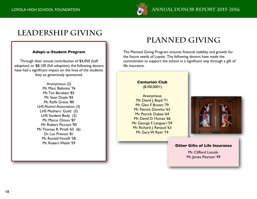

# **Leadership Giving**

### **Adopt-a-Student Program**

Through their annual contribution of \$4,050 (half adoption) or \$8,100 (full adoption), the following donors have had a significant impact on the lives of the students they so generously sponsored.

> Anonymous (2) Mr. Marc Babinksi '76 Mr. Tim Barakett '82 Mr. Sean Doyle '83 Mr. Rafik Greiss '80 LHS Alumni Association (3) LHS Mothers' Guild (5) LHS Student Body (2) Mr. Marco Ottoni '87 Mr. Robert Piccioni '90 Mr. Thomas R. Pirelli '65 (6) Dr. Luc Prevost '81 Mr. Ronald Vincelli '58 Mr. Robert Walsh '59

# **Planned Giving**

The Planned Giving Program ensures financial stability and growth for the future needs of Loyola. The following donors have made the commitment to support the school in a significant way through a gift of life insurance.

### **Centurion Club** (\$100,000+)

Anonymous Mr. David J. Boyd '71 Mr. Glen F. Brown '79 Mr. Patrick Donvito '63 Mr. Patrick Dubee '64 Mr. David D. Humes '66 Mr. George F. Lengvari '59 Mr. Richard J. Renaud '63 Mr. Gary W. Ryan '74



#### **Other Gifts of Life Insurance**

Mr. Clifford Lincoln Mr. James Pearson '49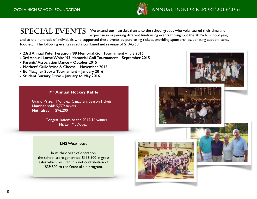

 $\text{SPECIAL}$   $\text{EVENTS}$  . We extend our heartfelt thanks to the school groups who volunteered their time and expertise in organizing different fundraising events throughout the 2015-16 school veal expertise in organizing different fundraising events throughout the 2015-16 school year,

and to the hundreds of individuals who supported these events by purchasing tickets, providing sponsorships, donating auction items, food etc. The following events raised a combined net revenue of \$134,750!

- **23rd Annual Peter Ferguson '88 Memorial Golf Tournament July 2015**
- **3rd Annual Lorne White '93 Memorial Golf Tournament September 2015**
- **Parents' Association Dance October 2015**
- **Mothers' Guild Wine & Cheese November 2015**
- **Ed Meagher Sports Tournament January 2016**
- **Student Bursary Drive January to May 2016**

#### **7th Annual Hockey Raffle**

**Grand Prize:** Montreal Canadiens Season Tickets **Number sold:** 5,779 tickets **Net raised:** \$96,200

> Congratulations to the 2015-16 winner Mr. Len McDougall

#### **LHS Wearhouse**

In its third year of operation, the school store generated \$118,500 in gross sales which resulted in a net contribution of \$39,800 to the financial aid program.